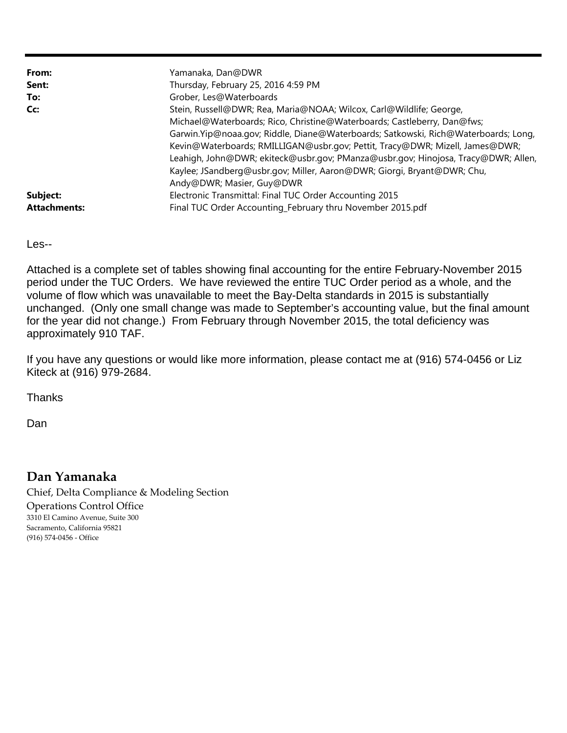| From:               | Yamanaka, Dan@DWR                                                                  |
|---------------------|------------------------------------------------------------------------------------|
| Sent:               | Thursday, February 25, 2016 4:59 PM                                                |
| To:                 | Grober, Les@Waterboards                                                            |
| Cc:                 | Stein, Russell@DWR; Rea, Maria@NOAA; Wilcox, Carl@Wildlife; George,                |
|                     | Michael@Waterboards; Rico, Christine@Waterboards; Castleberry, Dan@fws;            |
|                     | Garwin.Yip@noaa.gov; Riddle, Diane@Waterboards; Satkowski, Rich@Waterboards; Long, |
|                     | Kevin@Waterboards; RMILLIGAN@usbr.gov; Pettit, Tracy@DWR; Mizell, James@DWR;       |
|                     | Leahigh, John@DWR; ekiteck@usbr.gov; PManza@usbr.gov; Hinojosa, Tracy@DWR; Allen,  |
|                     | Kaylee; JSandberg@usbr.gov; Miller, Aaron@DWR; Giorgi, Bryant@DWR; Chu,            |
|                     | Andy@DWR; Masier, Guy@DWR                                                          |
| Subject:            | Electronic Transmittal: Final TUC Order Accounting 2015                            |
| <b>Attachments:</b> | Final TUC Order Accounting_February thru November 2015.pdf                         |

Les--

Attached is a complete set of tables showing final accounting for the entire February-November 2015 period under the TUC Orders. We have reviewed the entire TUC Order period as a whole, and the volume of flow which was unavailable to meet the Bay-Delta standards in 2015 is substantially unchanged. (Only one small change was made to September's accounting value, but the final amount for the year did not change.) From February through November 2015, the total deficiency was approximately 910 TAF.

If you have any questions or would like more information, please contact me at (916) 574-0456 or Liz Kiteck at (916) 979-2684.

Thanks

Dan

## **Dan Yamanaka**

Chief, Delta Compliance & Modeling Section Operations Control Office 3310 El Camino Avenue, Suite 300 Sacramento, California 95821 (916) 574‐0456 ‐ Office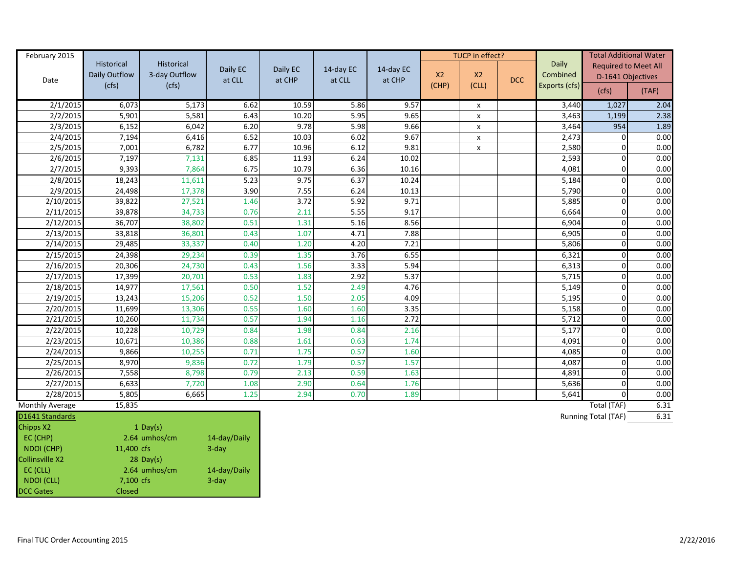| February 2015   |                   |                   |          |          |           |           | TUCP in effect? |                |            |               | <b>Total Additional Water</b> |       |
|-----------------|-------------------|-------------------|----------|----------|-----------|-----------|-----------------|----------------|------------|---------------|-------------------------------|-------|
|                 | <b>Historical</b> | <b>Historical</b> | Daily EC | Daily EC | 14-day EC | 14-day EC |                 |                |            | <b>Daily</b>  | <b>Required to Meet All</b>   |       |
| Date            | Daily Outflow     | 3-day Outflow     | at CLL   | at CHP   | at CLL    | at CHP    | X <sub>2</sub>  | X <sub>2</sub> | <b>DCC</b> | Combined      | D-1641 Objectives             |       |
|                 | (cfs)             | (cfs)             |          |          |           |           | (CHP)           | (CLL)          |            | Exports (cfs) | (cfs)                         | (TAF) |
| 2/1/2015        | 6,073             | 5,173             | 6.62     | 10.59    | 5.86      | 9.57      |                 | X              |            | 3,440         | 1,027                         | 2.04  |
| 2/2/2015        | 5,901             | 5,581             | 6.43     | 10.20    | 5.95      | 9.65      |                 | $\pmb{\times}$ |            | 3,463         | 1,199                         | 2.38  |
| 2/3/2015        | 6,152             | 6,042             | 6.20     | 9.78     | 5.98      | 9.66      |                 | X              |            | 3,464         | 954                           | 1.89  |
| 2/4/2015        | 7,194             | 6,416             | 6.52     | 10.03    | 6.02      | 9.67      |                 | X              |            | 2,473         | O                             | 0.00  |
| 2/5/2015        | 7,001             | 6,782             | 6.77     | 10.96    | 6.12      | 9.81      |                 | X              |            | 2,580         | O                             | 0.00  |
| 2/6/2015        | 7,197             | 7,131             | 6.85     | 11.93    | 6.24      | 10.02     |                 |                |            | 2,593         | $\Omega$                      | 0.00  |
| 2/7/2015        | 9,393             | 7,864             | 6.75     | 10.79    | 6.36      | 10.16     |                 |                |            | 4,081         | 0                             | 0.00  |
| 2/8/2015        | 18,243            | 11,611            | 5.23     | 9.75     | 6.37      | 10.24     |                 |                |            | 5,184         | 0                             | 0.00  |
| 2/9/2015        | 24,498            | 17,378            | 3.90     | 7.55     | 6.24      | 10.13     |                 |                |            | 5,790         | O                             | 0.00  |
| 2/10/2015       | 39,822            | 27,521            | 1.46     | 3.72     | 5.92      | 9.71      |                 |                |            | 5,885         | O                             | 0.00  |
| 2/11/2015       | 39,878            | 34,733            | 0.76     | 2.11     | 5.55      | 9.17      |                 |                |            | 6,664         | O                             | 0.00  |
| 2/12/2015       | 36,707            | 38,802            | 0.51     | 1.31     | 5.16      | 8.56      |                 |                |            | 6,904         | O                             | 0.00  |
| 2/13/2015       | 33,818            | 36,801            | 0.43     | 1.07     | 4.71      | 7.88      |                 |                |            | 6,905         | O                             | 0.00  |
| 2/14/2015       | 29,485            | 33,337            | 0.40     | 1.20     | 4.20      | 7.21      |                 |                |            | 5,806         | $\Omega$                      | 0.00  |
| 2/15/2015       | 24,398            | 29,234            | 0.39     | 1.35     | 3.76      | 6.55      |                 |                |            | 6,321         | 0                             | 0.00  |
| 2/16/2015       | 20,306            | 24,730            | 0.43     | 1.56     | 3.33      | 5.94      |                 |                |            | 6,313         | O                             | 0.00  |
| 2/17/2015       | 17,399            | 20,701            | 0.53     | 1.83     | 2.92      | 5.37      |                 |                |            | 5,715         | O                             | 0.00  |
| 2/18/2015       | 14,977            | 17,561            | 0.50     | 1.52     | 2.49      | 4.76      |                 |                |            | 5,149         | $\Omega$                      | 0.00  |
| 2/19/2015       | 13,243            | 15,206            | 0.52     | 1.50     | 2.05      | 4.09      |                 |                |            | 5,195         | $\Omega$                      | 0.00  |
| 2/20/2015       | 11,699            | 13,306            | 0.55     | 1.60     | 1.60      | 3.35      |                 |                |            | 5,158         | $\Omega$                      | 0.00  |
| 2/21/2015       | 10,260            | 11,734            | 0.57     | 1.94     | 1.16      | 2.72      |                 |                |            | 5,712         | O                             | 0.00  |
| 2/22/2015       | 10,228            | 10,729            | 0.84     | 1.98     | 0.84      | 2.16      |                 |                |            | 5,177         | O                             | 0.00  |
| 2/23/2015       | 10,671            | 10,386            | 0.88     | 1.61     | 0.63      | 1.74      |                 |                |            | 4,091         | O                             | 0.00  |
| 2/24/2015       | 9,866             | 10,255            | 0.71     | 1.75     | 0.57      | 1.60      |                 |                |            | 4,085         | $\overline{0}$                | 0.00  |
| 2/25/2015       | 8,970             | 9,836             | 0.72     | 1.79     | 0.57      | 1.57      |                 |                |            | 4,087         | O                             | 0.00  |
| 2/26/2015       | 7,558             | 8,798             | 0.79     | 2.13     | 0.59      | 1.63      |                 |                |            | 4,891         | O                             | 0.00  |
| 2/27/2015       | 6,633             | 7,720             | 1.08     | 2.90     | 0.64      | 1.76      |                 |                |            | 5,636         | $\Omega$                      | 0.00  |
| 2/28/2015       | 5,805             | 6,665             | 1.25     | 2.94     | 0.70      | 1.89      |                 |                |            | 5,641         | O                             | 0.00  |
| Monthly Average | 15,835            |                   |          |          |           |           |                 |                |            |               | Total (TAF)                   | 6.31  |

## D1641 Standards

| <b>PLUTH JIGHUGHUS</b> |            |               |              |
|------------------------|------------|---------------|--------------|
| <b>Chipps X2</b>       |            | 1 Day(s)      |              |
| EC (CHP)               |            | 2.64 umhos/cm | 14-day/Daily |
| NDOI (CHP)             | 11,400 cfs |               | $3$ -day     |
| Collinsville X2        |            | $28$ Day(s)   |              |
| EC (CLL)               |            | 2.64 umhos/cm | 14-day/Daily |
| NDOI (CLL)             | 7,100 cfs  |               | $3$ -day     |
| <b>DCC Gates</b>       | Closed     |               |              |

Running Total (TAF) 6.31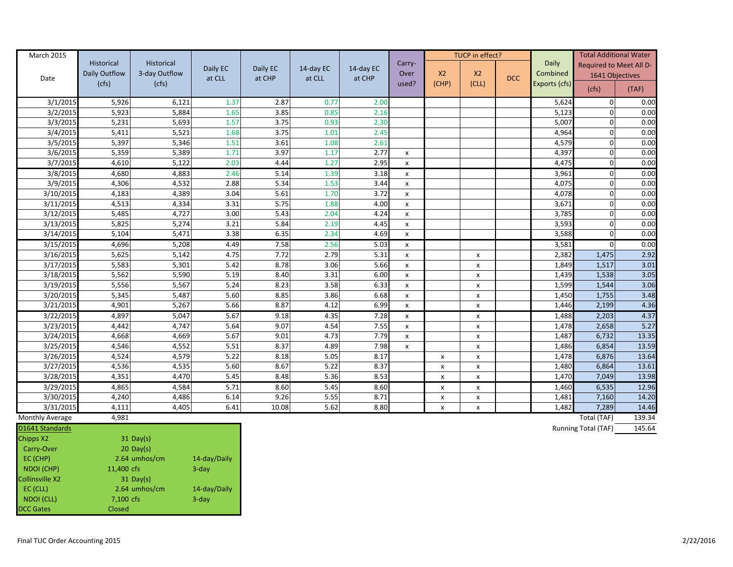| March 2015             |               |               |              |          |           |           |                    |                | TUCP in effect?    |            |               |                     | <b>Total Additional Water</b> |
|------------------------|---------------|---------------|--------------|----------|-----------|-----------|--------------------|----------------|--------------------|------------|---------------|---------------------|-------------------------------|
|                        | Historical    | Historical    | Daily EC     | Daily EC | 14-day EC | 14-day EC | Carry-             |                |                    |            | <b>Daily</b>  |                     | Required to Meet All D-       |
| Date                   | Daily Outflow | 3-day Outflow | at CLL       | at CHP   | at CLL    | at CHP    | Over               | X2             | X2                 | <b>DCC</b> | Combined      |                     | 1641 Objectives               |
|                        | (cfs)         | (cfs)         |              |          |           |           | used?              | (CHP)          | (CLL)              |            | Exports (cfs) | (cfs)               | (TAF)                         |
| 3/1/2015               | 5,926         | 6,121         | 1.37         | 2.87     | 0.77      | 2.00      |                    |                |                    |            | 5,624         | $\mathbf 0$         | 0.00                          |
| 3/2/2015               | 5,923         | 5,884         | 1.65         | 3.85     | 0.85      | 2.16      |                    |                |                    |            | 5,123         | 0                   | 0.00                          |
| 3/3/2015               | 5,231         | 5,693         | 1.57         | 3.75     | 0.93      | 2.30      |                    |                |                    |            | 5,007         | 0                   | 0.00                          |
| 3/4/2015               | 5,411         | 5,521         | 1.68         | 3.75     | 1.01      | 2.45      |                    |                |                    |            | 4,964         | 0                   | 0.00                          |
| 3/5/2015               | 5,397         | 5,346         | 1.51         | 3.61     | 1.08      | 2.61      |                    |                |                    |            | 4,579         | 0                   | 0.00                          |
| 3/6/2015               | 5,359         | 5,389         | 1.71         | 3.97     | 1.17      | 2.77      | X                  |                |                    |            | 4,397         | 0                   | 0.00                          |
| 3/7/2015               | 4,610         | 5,122         | 2.03         | 4.44     | 1.27      | 2.95      | $\pmb{\times}$     |                |                    |            | 4,475         | $\mathbf 0$         | 0.00                          |
| 3/8/2015               | 4,680         | 4,883         | 2.46         | 5.14     | 1.39      | 3.18      | $\mathsf{x}$       |                |                    |            | 3,961         | $\mathbf{0}$        | 0.00                          |
| 3/9/2015               | 4,306         | 4,532         | 2.88         | 5.34     | 1.53      | 3.44      | x                  |                |                    |            | 4,075         | 0                   | 0.00                          |
| 3/10/2015              | 4,183         | 4,389         | 3.04         | 5.61     | 1.70      | 3.72      | $\pmb{\times}$     |                |                    |            | 4,078         | 0                   | 0.00                          |
| 3/11/2015              | 4,513         | 4,334         | 3.31         | 5.75     | 1.88      | 4.00      | $\pmb{\times}$     |                |                    |            | 3,671         | 0                   | 0.00                          |
| 3/12/2015              | 5,485         | 4,727         | 3.00         | 5.43     | 2.04      | 4.24      | $\pmb{\times}$     |                |                    |            | 3,785         | 0                   | 0.00                          |
| 3/13/2015              | 5,825         | 5,274         | 3.21         | 5.84     | 2.19      | 4.45      | $\pmb{\mathsf{x}}$ |                |                    |            | 3,593         | 0                   | 0.00                          |
| 3/14/2015              | 5,104         | 5,471         | 3.38         | 6.35     | 2.34      | 4.69      | $\pmb{\times}$     |                |                    |            | 3,588         | 0                   | 0.00                          |
| 3/15/2015              | 4,696         | 5,208         | 4.49         | 7.58     | 2.56      | 5.03      | $\pmb{\times}$     |                |                    |            | 3,581         | $\boldsymbol{0}$    | 0.00                          |
| 3/16/2015              | 5,625         | 5,142         | 4.75         | 7.72     | 2.79      | 5.31      | $\pmb{\mathsf{x}}$ |                | $\pmb{\mathsf{X}}$ |            | 2,382         | 1,475               | 2.92                          |
| 3/17/2015              | 5,583         | 5,301         | 5.42         | 8.78     | 3.06      | 5.66      | $\pmb{\mathsf{x}}$ |                | $\pmb{\mathsf{x}}$ |            | 1,849         | 1,517               | 3.01                          |
| 3/18/2015              | 5,562         | 5,590         | 5.19         | 8.40     | 3.31      | 6.00      | $\pmb{\times}$     |                | x                  |            | 1,439         | 1,538               | 3.05                          |
| 3/19/2015              | 5,556         | 5,567         | 5.24         | 8.23     | 3.58      | 6.33      | $\pmb{\mathsf{x}}$ |                | $\pmb{\mathsf{x}}$ |            | 1,599         | 1,544               | 3.06                          |
| 3/20/2015              | 5,345         | 5,487         | 5.60         | 8.85     | 3.86      | 6.68      | $\pmb{\mathsf{x}}$ |                | $\pmb{\mathsf{x}}$ |            | 1,450         | 1,755               | 3.48                          |
| 3/21/2015              | 4,901         | 5,267         | 5.66         | 8.87     | 4.12      | 6.99      | $\pmb{\mathsf{x}}$ |                | $\pmb{\mathsf{x}}$ |            | 1,446         | 2,199               | 4.36                          |
| 3/22/2015              | 4,897         | 5,047         | 5.67         | 9.18     | 4.35      | 7.28      | x                  |                | $\pmb{\chi}$       |            | 1,488         | 2,203               | 4.37                          |
| 3/23/2015              | 4,442         | 4,747         | 5.64         | 9.07     | 4.54      | 7.55      | $\pmb{\mathsf{x}}$ |                | $\pmb{\mathsf{x}}$ |            | 1,478         | 2,658               | 5.27                          |
| 3/24/2015              | 4,668         | 4,669         | 5.67         | 9.01     | 4.73      | 7.79      | X                  |                | X                  |            | 1,487         | 6,732               | 13.35                         |
| 3/25/2015              | 4,546         | 4,552         | 5.51         | 8.37     | 4.89      | 7.98      | $\pmb{\mathsf{x}}$ |                | $\pmb{\mathsf{x}}$ |            | 1,486         | 6,854               | 13.59                         |
| 3/26/2015              | 4,524         | 4,579         | 5.22         | 8.18     | 5.05      | 8.17      |                    | x              | $\pmb{\mathsf{x}}$ |            | 1,478         | 6,876               | 13.64                         |
| 3/27/2015              | 4,536         | 4,535         | 5.60         | 8.67     | 5.22      | 8.37      |                    | $\pmb{\times}$ | $\pmb{\mathsf{x}}$ |            | 1,480         | 6,864               | 13.61                         |
| 3/28/2015              | 4,351         | 4,470         | 5.45         | 8.48     | 5.36      | 8.53      |                    | x              | $\pmb{\mathsf{x}}$ |            | 1,470         | 7,049               | 13.98                         |
| 3/29/2015              | 4,865         | 4,584         | 5.71         | 8.60     | 5.45      | 8.60      |                    | $\mathsf{x}$   | $\pmb{\mathsf{x}}$ |            | 1,460         | 6,535               | 12.96                         |
| 3/30/2015              | 4,240         | 4,486         | 6.14         | 9.26     | 5.55      | 8.71      |                    | x              | X                  |            | 1,481         | 7,160               | 14.20                         |
| 3/31/2015              | 4,111         | 4,405         | 6.41         | 10.08    | 5.62      | 8.80      |                    | x              | $\pmb{\mathsf{x}}$ |            | 1,482         | 7,289               | 14.46                         |
| <b>Monthly Average</b> | 4,981         |               |              |          |           |           |                    |                |                    |            |               | Total (TAF)         | 139.34                        |
| D1641 Standards        |               |               |              |          |           |           |                    |                |                    |            |               | Running Total (TAF) | 145.64                        |
| Chipps X2              |               | $31$ Day(s)   |              |          |           |           |                    |                |                    |            |               |                     |                               |
| Carry-Over             |               | $20$ Day(s)   |              |          |           |           |                    |                |                    |            |               |                     |                               |
| EC (CHP)               |               | 2.64 umhos/cm | 14-day/Daily |          |           |           |                    |                |                    |            |               |                     |                               |
| NDOI (CHP)             | 11,400 cfs    |               | $3$ -day     |          |           |           |                    |                |                    |            |               |                     |                               |
| Collinsville X2        |               | $31$ Day(s)   |              |          |           |           |                    |                |                    |            |               |                     |                               |
| EC (CLL)               |               | 2.64 umhos/cm | 14-day/Daily |          |           |           |                    |                |                    |            |               |                     |                               |
| NDOI (CLL)             | 7,100 cfs     |               | $3$ -day     |          |           |           |                    |                |                    |            |               |                     |                               |

DCC Gates **Closed**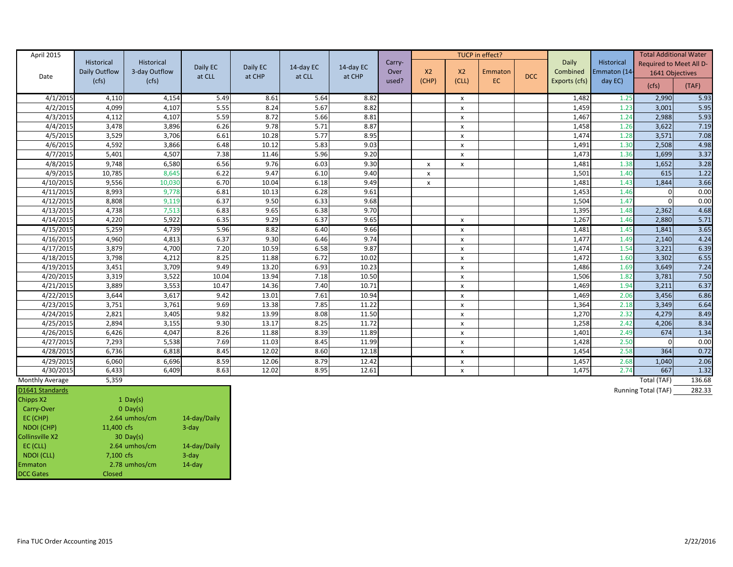| April 2015      | Historical    | Historical    | Daily EC | Daily EC | 14-day EC | 14-day EC | Carry- |                           |                | TUCP in effect? |            | Daily         | Historical   | <b>Total Additional Water</b><br>Required to Meet All D- |               |
|-----------------|---------------|---------------|----------|----------|-----------|-----------|--------|---------------------------|----------------|-----------------|------------|---------------|--------------|----------------------------------------------------------|---------------|
| Date            | Daily Outflow | 3-day Outflow | at CLL   | at CHP   | at CLL    | at CHP    | Over   | X <sub>2</sub>            | X <sub>2</sub> | Emmaton         | <b>DCC</b> | Combined      | Emmaton (14- | 1641 Objectives                                          |               |
|                 | (cfs)         | (cfs)         |          |          |           |           | used?  | (CHP)                     | (CLL)          | EC.             |            | Exports (cfs) | day EC)      | (cfs)                                                    | (TAF)         |
| 4/1/2015        | 4,110         | 4,154         | 5.49     | 8.61     | 5.64      | 8.82      |        |                           | x              |                 |            | 1,482         | 1.25         | 2,990                                                    | 5.93          |
| 4/2/2015        | 4,099         | 4,107         | 5.55     | 8.24     | 5.67      | 8.82      |        |                           | x              |                 |            | 1,459         | 1.23         | 3,001                                                    | 5.95          |
| 4/3/2015        | 4,112         | 4,107         | 5.59     | 8.72     | 5.66      | 8.81      |        |                           | x              |                 |            | 1,467         | 1.24         | 2,988                                                    | 5.93          |
| 4/4/2015        | 3,478         | 3,896         | 6.26     | 9.78     | 5.71      | 8.87      |        |                           | x              |                 |            | 1,458         | 1.26         | 3,622                                                    | 7.19          |
| 4/5/2015        | 3,529         | 3,706         | 6.61     | 10.28    | 5.77      | 8.95      |        |                           | x              |                 |            | 1,474         | 1.28         | 3,571                                                    | 7.08          |
| 4/6/2015        | 4,592         | 3,866         | 6.48     | 10.12    | 5.83      | 9.03      |        |                           | x              |                 |            | 1,491         | 1.30         | 2,508                                                    | 4.98          |
| 4/7/2015        | 5,401         | 4,507         | 7.38     | 11.46    | 5.96      | 9.20      |        |                           | X              |                 |            | 1,473         | 1.36         | 1,699                                                    | 3.37          |
| 4/8/2015        | 9,748         | 6,580         | 6.56     | 9.76     | 6.03      | 9.30      |        | $\boldsymbol{\mathsf{x}}$ | x              |                 |            | 1,481         | 1.38         | 1,652                                                    | 3.28          |
| 4/9/2015        | 10,785        | 8,645         | 6.22     | 9.47     | 6.10      | 9.40      |        | X                         |                |                 |            | 1,501         | 1.40         | 615                                                      | 1.22          |
| 4/10/2015       | 9,556         | 10,030        | 6.70     | 10.04    | 6.18      | 9.49      |        | X                         |                |                 |            | 1,481         | 1.43         | 1,844                                                    | 3.66          |
| 4/11/2015       | 8,993         | 9,778         | 6.81     | 10.13    | 6.28      | 9.61      |        |                           |                |                 |            | 1,453         | 1.46         | $\Omega$                                                 | 0.00          |
| 4/12/2015       | 8,808         | 9,119         | 6.37     | 9.50     | 6.33      | 9.68      |        |                           |                |                 |            | 1,504         | 1.47         | $\Omega$                                                 | 0.00          |
| 4/13/2015       | 4,738         | 7,513         | 6.83     | 9.65     | 6.38      | 9.70      |        |                           |                |                 |            | 1,395         | 1.48         | 2,362                                                    | 4.68          |
| 4/14/2015       | 4,220         | 5,922         | 6.35     | 9.29     | 6.37      | 9.65      |        |                           | x              |                 |            | 1,267         | 1.46         | 2,880                                                    | 5.71          |
| 4/15/2015       | 5,259         | 4,739         | 5.96     | 8.82     | 6.40      | 9.66      |        |                           | X              |                 |            | 1,481         | 1.45         | 1,841                                                    | 3.65          |
| 4/16/2015       | 4,960         | 4,813         | 6.37     | 9.30     | 6.46      | 9.74      |        |                           | x              |                 |            | 1,477         | 1.49         | 2,140                                                    | 4.24          |
| 4/17/2015       | 3,879         | 4,700         | 7.20     | 10.59    | 6.58      | 9.87      |        |                           | x              |                 |            | 1,474         | 1.54         | 3,221                                                    | 6.39          |
| 4/18/2015       | 3,798         | 4,212         | 8.25     | 11.88    | 6.72      | 10.02     |        |                           | x              |                 |            | 1,472         | 1.60         | 3,302                                                    | 6.55          |
| 4/19/2015       | 3,451         | 3,709         | 9.49     | 13.20    | 6.93      | 10.23     |        |                           | x              |                 |            | 1,486         | 1.69         | 3,649                                                    | 7.24          |
| 4/20/2015       | 3,319         | 3,522         | 10.04    | 13.94    | 7.18      | 10.50     |        |                           | x              |                 |            | 1,506         | 1.82         | 3,781                                                    | 7.50          |
| 4/21/2015       | 3,889         | 3,553         | 10.47    | 14.36    | 7.40      | 10.71     |        |                           | x              |                 |            | 1,469         | 1.94         | 3,211                                                    | 6.37          |
| 4/22/2015       | 3,644         | 3,617         | 9.42     | 13.01    | 7.61      | 10.94     |        |                           | x              |                 |            | 1,469         | 2.06         | 3,456                                                    | 6.86          |
| 4/23/2015       | 3,751         | 3,761         | 9.69     | 13.38    | 7.85      | 11.22     |        |                           | x              |                 |            | 1,364         | 2.18         | 3,349                                                    | 6.64          |
| 4/24/2015       | 2,821         | 3,405         | 9.82     | 13.99    | 8.08      | 11.50     |        |                           | x              |                 |            | 1,270         | 2.32         | 4,279                                                    | 8.49          |
| 4/25/2015       | 2,894         | 3,155         | 9.30     | 13.17    | 8.25      | 11.72     |        |                           | X              |                 |            | 1,258         | 2.42         | 4,206                                                    | 8.34          |
| 4/26/2015       | 6,426         | 4,047         | 8.26     | 11.88    | 8.39      | 11.89     |        |                           | X              |                 |            | 1,401         | 2.49         | 674                                                      | 1.34          |
| 4/27/2015       | 7,293         | 5,538         | 7.69     | 11.03    | 8.45      | 11.99     |        |                           | X              |                 |            | 1,428         | 2.50         | $\Omega$                                                 | 0.00          |
| 4/28/201        | 6,736         | 6,818         | 8.45     | 12.02    | 8.60      | 12.18     |        |                           | x              |                 |            | 1,454         | 2.58         | 364                                                      | 0.72          |
| 4/29/2015       | 6,060         | 6,696         | 8.59     | 12.06    | 8.79      | 12.42     |        |                           | X              |                 |            | 1,457         | 2.68         | 1,040                                                    | 2.06          |
| 4/30/2015       | 6,433         | 6,409         | 8.63     | 12.02    | 8.95      | 12.61     |        |                           | X              |                 |            | 1,475         | 2.74         | 667                                                      | 1.32          |
| Monthly Average | 5,359         |               |          |          |           |           |        |                           |                |                 |            |               |              | Total (TAF)                                              | 136.68        |
| $R = 646.61$    |               |               |          |          |           |           |        |                           |                |                 |            |               |              |                                                          | $\frac{1}{2}$ |

| D1641 Standards        |               |              |
|------------------------|---------------|--------------|
| Chipps X2              | 1 Day(s)      |              |
| Carry-Over             | $0$ Day(s)    |              |
| EC (CHP)               | 2.64 umhos/cm | 14-day/Daily |
| <b>NDOI</b> (CHP)      | 11,400 cfs    | $3$ -day     |
| <b>Collinsville X2</b> | $30$ Day(s)   |              |
| EC (CLL)               | 2.64 umhos/cm | 14-day/Daily |
| <b>NDOI</b> (CLL)      | 7,100 cfs     | $3$ -day     |
| Emmaton                | 2.78 umhos/cm | $14$ -day    |
| <b>DCC Gates</b>       | Closed        |              |

Running Total (TAF) 282.33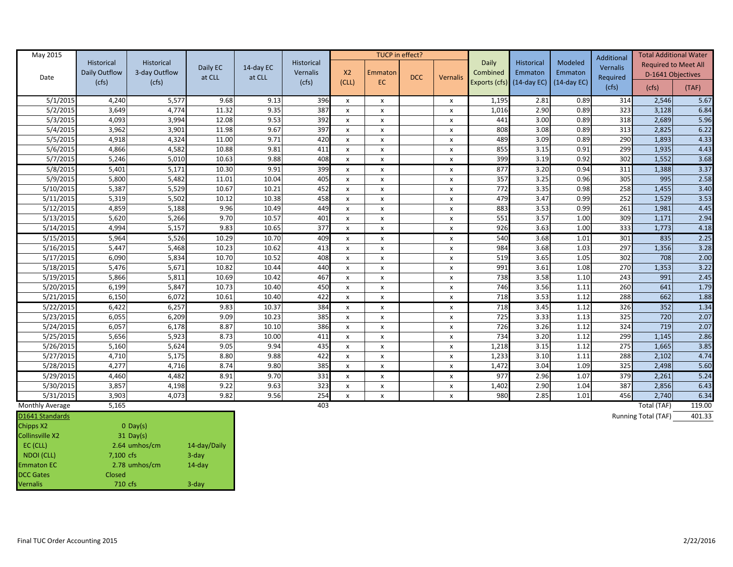| <b>May 2015</b>        |                |                |                |              |            |                     |                                    | TUCP in effect? |                                                 |               |               |               | <b>Additional</b> | <b>Total Additional Water</b> |              |
|------------------------|----------------|----------------|----------------|--------------|------------|---------------------|------------------------------------|-----------------|-------------------------------------------------|---------------|---------------|---------------|-------------------|-------------------------------|--------------|
|                        | Historical     | Historical     | Daily EC       | 14-day EC    | Historical |                     |                                    |                 |                                                 | Daily         | Historical    | Modeled       | <b>Vernalis</b>   | <b>Required to Meet All</b>   |              |
| Date                   | Daily Outflow  | 3-day Outflow  | at CLL         | at CLL       | Vernalis   | X <sub>2</sub>      | Emmaton                            | <b>DCC</b>      | <b>Vernalis</b>                                 | Combined      | Emmaton       | Emmaton       | Required          | D-1641 Objectives             |              |
|                        | (cfs)          | (cfs)          |                |              | (cfs)      | (CLL)               | EC.                                |                 |                                                 | Exports (cfs) | $(14-day EC)$ | $(14-day EC)$ | (cfs)             | (cfs)                         | (TAF)        |
|                        |                |                |                |              |            |                     |                                    |                 |                                                 |               |               |               |                   |                               |              |
| 5/1/2015               | 4,240          | 5,577          | 9.68           | 9.13         | 396        | x                   | $\boldsymbol{\mathsf{x}}$          |                 | $\boldsymbol{\mathsf{x}}$                       | 1,195         | 2.81          | 0.89<br>0.89  | 314               | 2,546                         | 5.67         |
| 5/2/2015               | 3,649          | 4,774          | 11.32          | 9.35         | 387        | X                   | X                                  |                 | $\boldsymbol{\mathsf{x}}$                       | 1,016         | 2.90          |               | 323               | 3,128                         | 6.84         |
| 5/3/2015               | 4,093          | 3,994          | 12.08          | 9.53<br>9.67 | 392<br>397 | $\pmb{\times}$      | $\pmb{\chi}$                       |                 | $\mathsf{x}$                                    | 441           | 3.00<br>3.08  | 0.89<br>0.89  | 318<br>313        | 2,689                         | 5.96         |
| 5/4/2015               | 3,962          | 3,901<br>4,324 | 11.98          | 9.71         | 420        | x                   | $\pmb{\chi}$                       |                 | $\boldsymbol{\mathsf{x}}$                       | 808<br>489    | 3.09          | 0.89          | 290               | 2,825                         | 6.22         |
| 5/5/2015<br>5/6/2015   | 4,918<br>4,866 | 4,582          | 11.00<br>10.88 | 9.81         | 411        | x<br>$\pmb{\times}$ | X                                  |                 | $\boldsymbol{\mathsf{x}}$<br>$\pmb{\mathsf{X}}$ | 855           | 3.15          | 0.91          | 299               | 1,893<br>1,935                | 4.33<br>4.43 |
| 5/7/2015               | 5,246          | 5,010          | 10.63          | 9.88         | 408        | $\pmb{\mathsf{x}}$  | $\pmb{\chi}$<br>$\pmb{\mathsf{x}}$ |                 | X                                               | 399           | 3.19          | 0.92          | 302               | 1,552                         | 3.68         |
| 5/8/2015               | 5,401          | 5,171          | 10.30          | 9.91         | 399        | x                   | $\pmb{\chi}$                       |                 | X                                               | 877           | 3.20          | 0.94          | 311               | 1,388                         | 3.37         |
| 5/9/2015               | 5,800          | 5,482          | 11.01          | 10.04        | 405        | x                   | X                                  |                 | X                                               | 357           | 3.25          | 0.96          | 305               | 995                           | 2.58         |
| 5/10/2015              | 5,387          | 5,529          | 10.67          | 10.21        | 452        | $\pmb{\mathsf{x}}$  | $\pmb{\chi}$                       |                 | $\mathsf{x}$                                    | 772           | 3.35          | 0.98          | 258               | 1,455                         | 3.40         |
| 5/11/2015              | 5,319          | 5,502          | 10.12          | 10.38        | 458        | x                   | $\mathsf{x}$                       |                 | $\mathsf{x}$                                    | 479           | 3.47          | 0.99          | 252               | 1,529                         | 3.53         |
| 5/12/2015              | 4,859          | 5,188          | 9.96           | 10.49        | 449        | x                   | $\pmb{\chi}$                       |                 | $\mathsf{x}$                                    | 883           | 3.53          | 0.99          | 261               | 1,981                         | 4.45         |
| 5/13/2015              | 5,620          | 5,266          | 9.70           | 10.57        | 401        | x                   | $\pmb{\chi}$                       |                 | $\pmb{\chi}$                                    | 551           | 3.57          | 1.00          | 309               | 1,171                         | 2.94         |
| 5/14/2015              | 4,994          | 5,157          | 9.83           | 10.65        | 377        | x                   | X                                  |                 | $\boldsymbol{\mathsf{x}}$                       | 926           | 3.63          | 1.00          | 333               | 1,773                         | 4.18         |
| 5/15/2015              | 5,964          | 5,526          | 10.29          | 10.70        | 409        | x                   | $\pmb{\chi}$                       |                 | X                                               | 540           | 3.68          | 1.01          | 301               | 835                           | 2.25         |
| 5/16/2015              | 5,447          | 5,468          | 10.23          | 10.62        | 413        | $\pmb{\mathsf{x}}$  | $\pmb{\mathsf{x}}$                 |                 | $\mathsf{x}$                                    | 984           | 3.68          | 1.03          | 297               | 1,356                         | 3.28         |
| 5/17/2015              | 6,090          | 5,834          | 10.70          | 10.52        | 408        | x                   | $\pmb{\chi}$                       |                 | $\mathsf{x}$                                    | 519           | 3.65          | 1.05          | 302               | 708                           | 2.00         |
| 5/18/2015              | 5,476          | 5,671          | 10.82          | 10.44        | 440        | $\pmb{\times}$      | $\pmb{\mathsf{x}}$                 |                 | $\pmb{\chi}$                                    | 991           | 3.61          | 1.08          | 270               | 1,353                         | 3.22         |
| 5/19/2015              | 5,866          | 5,811          | 10.69          | 10.42        | 467        | x                   | $\pmb{\chi}$                       |                 | $\mathsf{x}$                                    | 738           | 3.58          | 1.10          | 243               | 991                           | 2.45         |
| 5/20/2015              | 6,199          | 5,847          | 10.73          | 10.40        | 450        | x                   | X                                  |                 | $\pmb{\mathsf{x}}$                              | 746           | 3.56          | 1.11          | 260               | 641                           | 1.79         |
| 5/21/2015              | 6,150          | 6,072          | 10.61          | 10.40        | 422        | x                   | X                                  |                 | $\mathsf{x}$                                    | 718           | 3.53          | 1.12          | 288               | 662                           | 1.88         |
| 5/22/2015              | 6,422          | 6,257          | 9.83           | 10.37        | 384        | x                   | $\pmb{\chi}$                       |                 | x                                               | 718           | 3.45          | 1.12          | 326               | 352                           | 1.34         |
| 5/23/2015              | 6,055          | 6,209          | 9.09           | 10.23        | 385        | x                   | $\pmb{\mathsf{x}}$                 |                 | $\mathsf{x}$                                    | 725           | 3.33          | 1.13          | 325               | 720                           | 2.07         |
| 5/24/2015              | 6,057          | 6,178          | 8.87           | 10.10        | 386        | x                   | $\pmb{\chi}$                       |                 | $\mathsf{x}$                                    | 726           | 3.26          | 1.12          | 324               | 719                           | 2.07         |
| 5/25/2015              | 5,656          | 5,923          | 8.73           | 10.00        | 411        | x                   | X                                  |                 | x                                               | 734           | 3.20          | 1.12          | 299               | 1,145                         | 2.86         |
| 5/26/2015              | 5,160          | 5,624          | 9.05           | 9.94         | 435        | x                   | $\pmb{\chi}$                       |                 | $\mathsf{x}$                                    | 1,218         | 3.15          | 1.12          | 275               | 1,665                         | 3.85         |
| 5/27/2015              | 4,710          | 5,175          | 8.80           | 9.88         | 422        | x                   | $\pmb{\chi}$                       |                 | $\pmb{\chi}$                                    | 1,233         | 3.10          | 1.11          | 288               | 2,102                         | 4.74         |
| 5/28/2015              | 4,277          | 4,716          | 8.74           | 9.80         | 385        | $\pmb{\mathsf{x}}$  | $\pmb{\mathsf{x}}$                 |                 | $\pmb{\mathsf{x}}$                              | 1,472         | 3.04          | 1.09          | 325               | 2,498                         | 5.60         |
| 5/29/2015              | 4,460          | 4,482          | 8.91           | 9.70         | 331        | x                   | $\pmb{\chi}$                       |                 | $\boldsymbol{\mathsf{x}}$                       | 977           | 2.96          | 1.07          | 379               | 2,261                         | 5.24         |
| 5/30/2015              | 3,857          | 4,198          | 9.22           | 9.63         | 323        | x                   | X                                  |                 | $\mathsf{x}$                                    | 1,402         | 2.90          | 1.04          | 387               | 2,856                         | 6.43         |
| 5/31/2015              | 3,903          | 4,073          | 9.82           | 9.56         | 254        | X                   | X                                  |                 | $\mathsf{x}$                                    | 980           | 2.85          | 1.01          | 456               | 2,740                         | 6.34         |
| Monthly Average        | 5,165          |                |                |              | 403        |                     |                                    |                 |                                                 |               |               |               |                   | Total (TAF)                   | 119.00       |
| D1641 Standards        |                |                |                |              |            |                     |                                    |                 |                                                 |               |               |               |                   | Running Total (TAF)           | 401.33       |
| <b>Chipps X2</b>       |                | $O$ Day(s)     |                |              |            |                     |                                    |                 |                                                 |               |               |               |                   |                               |              |
| <b>Collinsville X2</b> |                | $31$ Day(s)    |                |              |            |                     |                                    |                 |                                                 |               |               |               |                   |                               |              |
| EC (CLL)               |                | 2.64 umhos/cm  | 14-day/Daily   |              |            |                     |                                    |                 |                                                 |               |               |               |                   |                               |              |
| <b>NDOI</b> (CLL)      | 7,100 cfs      |                | $3$ -day       |              |            |                     |                                    |                 |                                                 |               |               |               |                   |                               |              |
| <b>Emmaton EC</b>      |                | 2.78 umhos/cm  | $14$ -day      |              |            |                     |                                    |                 |                                                 |               |               |               |                   |                               |              |
| <b>DCC Gates</b>       | <b>Closed</b>  |                |                |              |            |                     |                                    |                 |                                                 |               |               |               |                   |                               |              |

Vernalis 710 cfs 3-day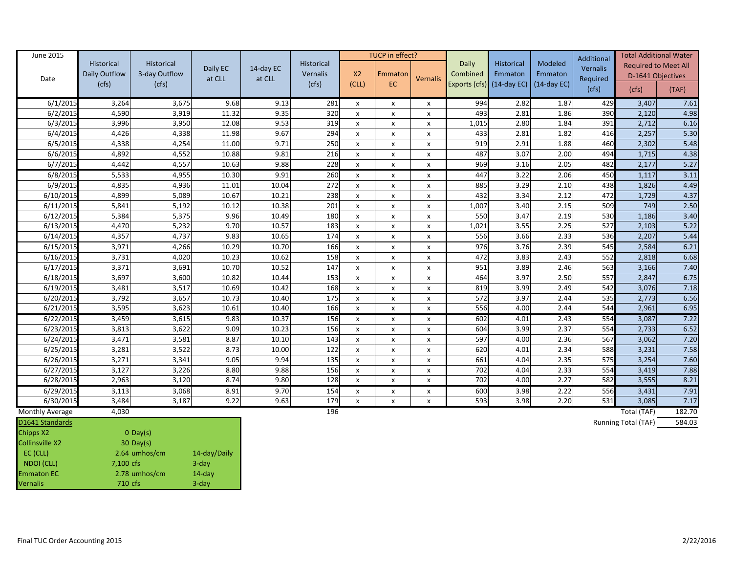| June 2015       |                             |                             |          |           |                        |                           | TUCP in effect? |                           |                   |                             |                    | Additional | <b>Total Additional Water</b> |               |
|-----------------|-----------------------------|-----------------------------|----------|-----------|------------------------|---------------------------|-----------------|---------------------------|-------------------|-----------------------------|--------------------|------------|-------------------------------|---------------|
|                 | Historical<br>Daily Outflow | Historical<br>3-day Outflow | Daily EC | 14-day EC | Historical<br>Vernalis | X <sub>2</sub>            | Emmaton         |                           | Daily<br>Combined | Historical<br>Emmaton       | Modeled<br>Emmaton | Vernalis   | <b>Required to Meet All</b>   |               |
| Date            | (cfs)                       | (cfs)                       | at CLL   | at CLL    | (cfs)                  | (CLL)                     | EC              | Vernalis                  |                   | Exports $(cfs)$ (14-day EC) | $(14$ -day EC)     | Required   | D-1641 Objectives             |               |
|                 |                             |                             |          |           |                        |                           |                 |                           |                   |                             |                    | (cfs)      | (cfs)                         | (TAF)         |
| 6/1/2015        | 3,264                       | 3,675                       | 9.68     | 9.13      | 281                    | $\boldsymbol{\mathsf{x}}$ | x               | x                         | 994               | 2.82                        | 1.87               | 429        | 3,407                         | 7.61          |
| 6/2/2015        | 4,590                       | 3,919                       | 11.32    | 9.35      | 320                    | $\pmb{\times}$            | x               | X                         | 493               | 2.81                        | 1.86               | 390        | 2,120                         | 4.98          |
| 6/3/2015        | 3,996                       | 3,950                       | 12.08    | 9.53      | 319                    | $\pmb{\times}$            | X               | X                         | 1,015             | 2.80                        | 1.84               | 391        | 2,712                         | 6.16          |
| 6/4/2015        | 4,426                       | 4,338                       | 11.98    | 9.67      | 294                    | $\pmb{\times}$            | x               | X                         | 433               | 2.81                        | 1.82               | 416        | 2,257                         | 5.30          |
| 6/5/2015        | 4,338                       | 4,254                       | 11.00    | 9.71      | 250                    | $\boldsymbol{\mathsf{x}}$ | x               | x                         | 919               | 2.91                        | 1.88               | 460        | 2,302                         | 5.48          |
| 6/6/2015        | 4,892                       | 4,552                       | 10.88    | 9.81      | 216                    | $\pmb{\mathsf{x}}$        | X               | $\pmb{\mathsf{X}}$        | 487               | 3.07                        | 2.00               | 494        | 1,715                         | 4.38          |
| 6/7/2015        | 4,442                       | 4,557                       | 10.63    | 9.88      | 228                    | $\pmb{\chi}$              | x               | X                         | 969               | 3.16                        | 2.05               | 482        | 2,177                         | 5.27          |
| 6/8/2015        | 5,533                       | 4,955                       | 10.30    | 9.91      | 260                    | $\boldsymbol{\mathsf{x}}$ | x               | x                         | 447               | 3.22                        | 2.06               | 450        | 1,117                         | 3.11          |
| 6/9/2015        | 4,835                       | 4,936                       | 11.01    | 10.04     | 272                    | $\pmb{\times}$            | x               | x                         | 885               | 3.29                        | 2.10               | 438        | 1,826                         | 4.49          |
| 6/10/2015       | 4,899                       | 5,089                       | 10.67    | 10.21     | 238                    | $\pmb{\times}$            | x               | X                         | 432               | 3.34                        | 2.12               | 472        | 1,729                         | 4.37          |
| 6/11/2015       | 5,841                       | 5,192                       | 10.12    | 10.38     | 201                    | $\pmb{\times}$            | x               | X                         | 1,007             | 3.40                        | 2.15               | 509        | 749                           | 2.50          |
| 6/12/2015       | 5,384                       | 5,375                       | 9.96     | 10.49     | 180                    | $\mathsf{x}$              | x               | x                         | 550               | 3.47                        | 2.19               | 530        | 1,186                         | 3.40          |
| 6/13/2015       | 4,470                       | 5,232                       | 9.70     | 10.57     | 183                    | X                         | X               | x                         | 1,021             | 3.55                        | 2.25               | 527        | 2,103                         | 5.22          |
| 6/14/2015       | 4,357                       | 4,737                       | 9.83     | 10.65     | 174                    | $\pmb{\chi}$              | $\pmb{\times}$  | x                         | 556               | 3.66                        | 2.33               | 536        | 2,207                         | 5.44          |
| 6/15/2015       | 3,971                       | 4,266                       | 10.29    | 10.70     | 166                    | $\pmb{\times}$            | x               | X                         | 976               | 3.76                        | 2.39               | 545        | 2,584                         | 6.21          |
| 6/16/2015       | 3,731                       | 4,020                       | 10.23    | 10.62     | 158                    | $\pmb{\times}$            | X               | X                         | 472               | 3.83                        | 2.43               | 552        | 2,818                         | 6.68          |
| 6/17/2015       | 3,371                       | 3,691                       | 10.70    | 10.52     | 147                    | X                         | X               | x                         | 951               | 3.89                        | 2.46               | 563        | 3,166                         | 7.40          |
| 6/18/2015       | 3,697                       | 3,600                       | 10.82    | 10.44     | 153                    | $\pmb{\times}$            | $\pmb{\times}$  | x                         | 464               | 3.97                        | 2.50               | 557        | 2,847                         | 6.75          |
| 6/19/2015       | 3,481                       | 3,517                       | 10.69    | 10.42     | 168                    | $\pmb{\times}$            | x               | $\mathsf{x}$              | 819               | 3.99                        | 2.49               | 542        | 3,076                         | 7.18          |
| 6/20/2015       | 3,792                       | 3,657                       | 10.73    | 10.40     | 175                    | $\boldsymbol{\mathsf{x}}$ | x               | x                         | 572               | 3.97                        | 2.44               | 535        | 2,773                         | 6.56          |
| 6/21/2015       | 3,595                       | 3,623                       | 10.61    | 10.40     | 166                    | $\pmb{\times}$            | X               | X                         | 556               | 4.00                        | 2.44               | 544        | 2,961                         | 6.95          |
| 6/22/2015       | 3,459                       | 3,615                       | 9.83     | 10.37     | 156                    | X                         | X               | X                         | 602               | 4.01                        | 2.43               | 554        | 3,087                         | 7.22          |
| 6/23/2015       | 3,813                       | 3,622                       | 9.09     | 10.23     | 156                    | $\pmb{\times}$            | x               | $\boldsymbol{\mathsf{x}}$ | 604               | 3.99                        | 2.37               | 554        | 2,733                         | 6.52          |
| 6/24/2015       | 3,471                       | 3,581                       | 8.87     | 10.10     | 143                    | $\boldsymbol{\mathsf{x}}$ | x               | x                         | 597               | 4.00                        | 2.36               | 567        | 3,062                         | 7.20          |
| 6/25/2015       | 3,281                       | 3,522                       | 8.73     | 10.00     | 122                    | $\pmb{\times}$            | X               | X                         | 620               | 4.01                        | 2.34               | 588        | 3,231                         | 7.58          |
| 6/26/2015       | 3,271                       | 3,341                       | 9.05     | 9.94      | 135                    | $\pmb{\mathsf{x}}$        | X               | x                         | 661               | 4.04                        | 2.35               | 575        | 3,254                         | 7.60          |
| 6/27/2015       | 3,127                       | 3,226                       | 8.80     | 9.88      | 156                    | $\boldsymbol{\mathsf{x}}$ | x               | x                         | 702               | 4.04                        | 2.33               | 554        | 3,419                         | 7.88          |
| 6/28/2015       | 2,963                       | 3,120                       | 8.74     | 9.80      | 128                    | $\mathsf{x}$              | x               | x                         | 702               | 4.00                        | 2.27               | 582        | 3,555                         | 8.21          |
| 6/29/2015       | 3,113                       | 3,068                       | 8.91     | 9.70      | 154                    | $\boldsymbol{\mathsf{x}}$ | X               | X                         | 600               | 3.98                        | 2.22               | 556        | 3,431                         | 7.91          |
| 6/30/2015       | 3,484                       | 3,187                       | 9.22     | 9.63      | 179                    | $\boldsymbol{\mathsf{x}}$ | X               | x                         | 593               | 3.98                        | 2.20               | 531        | 3,085                         | 7.17          |
| Monthly Average | 4,030                       |                             |          |           | 196                    |                           |                 |                           |                   |                             |                    |            | Total (TAF)                   | 182.70        |
| D1641 Standards |                             |                             |          |           |                        |                           |                 |                           |                   |                             |                    |            | $D$ unning $T$ otal $(TAE)$   | <b>COA OP</b> |

| D <sub>1641</sub> Standards |               |              |
|-----------------------------|---------------|--------------|
| Chipps X2                   | $0$ Day(s)    |              |
| <b>Collinsville X2</b>      | $30$ Day(s)   |              |
| $EC$ (CLL)                  | 2.64 umhos/cm | 14-day/Daily |
| NDOI (CLL)                  | 7,100 cfs     | $3$ -day     |
| <b>Emmaton EC</b>           | 2.78 umhos/cm | $14$ -day    |
| <b>Vernalis</b>             | 710 cfs       | $3$ -day     |

Running Total (TAF) 584.03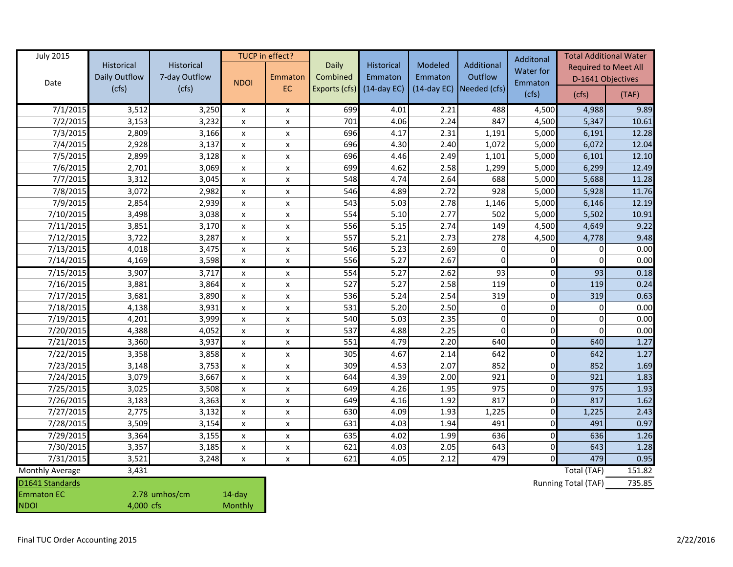| <b>July 2015</b>       |               |               |                    | TUCP in effect?    |               |               |               |                |             | Additonal                   | <b>Total Additional Water</b> |  |  |
|------------------------|---------------|---------------|--------------------|--------------------|---------------|---------------|---------------|----------------|-------------|-----------------------------|-------------------------------|--|--|
|                        | Historical    | Historical    |                    |                    | Daily         | Historical    | Modeled       | Additional     | Water for   | <b>Required to Meet All</b> |                               |  |  |
| Date                   | Daily Outflow | 7-day Outflow | <b>NDOI</b>        | Emmaton            | Combined      | Emmaton       | Emmaton       | Outflow        | Emmaton     | D-1641 Objectives           |                               |  |  |
|                        | (cfs)         | (cfs)         |                    | EC                 | Exports (cfs) | $(14-day EC)$ | $(14-day EC)$ | Needed (cfs)   | (cfs)       | (cfs)                       | (TAF)                         |  |  |
| 7/1/2015               | 3,512         | 3,250         | $\pmb{\mathsf{x}}$ | X                  | 699           | 4.01          | 2.21          | 488            | 4,500       | 4,988                       | 9.89                          |  |  |
| $\frac{1}{7}/2/2015$   | 3,153         | 3,232         | $\pmb{\mathsf{x}}$ | $\pmb{\mathsf{x}}$ | 701           | 4.06          | 2.24          | 847            | 4,500       | 5,347                       | 10.61                         |  |  |
| 7/3/2015               | 2,809         | 3,166         | $\pmb{\mathsf{x}}$ | $\pmb{\mathsf{x}}$ | 696           | 4.17          | 2.31          | 1,191          | 5,000       | 6,191                       | 12.28                         |  |  |
| 7/4/2015               | 2,928         | 3,137         | X                  | X                  | 696           | 4.30          | 2.40          | 1,072          | 5,000       | 6,072                       | 12.04                         |  |  |
| 7/5/2015               | 2,899         | 3,128         | $\pmb{\times}$     | $\pmb{\mathsf{x}}$ | 696           | 4.46          | 2.49          | 1,101          | 5,000       | 6,101                       | 12.10                         |  |  |
| 7/6/2015               | 2,701         | 3,069         | $\pmb{\times}$     | $\pmb{\mathsf{x}}$ | 699           | 4.62          | 2.58          | 1,299          | 5,000       | 6,299                       | 12.49                         |  |  |
| 7/7/2015               | 3,312         | 3,045         | $\pmb{\times}$     | X                  | 548           | 4.74          | 2.64          | 688            | 5,000       | 5,688                       | 11.28                         |  |  |
| 7/8/2015               | 3,072         | 2,982         | X                  | X                  | 546           | 4.89          | 2.72          | 928            | 5,000       | 5,928                       | 11.76                         |  |  |
| 7/9/2015               | 2,854         | 2,939         | $\pmb{\times}$     | X                  | 543           | 5.03          | 2.78          | 1,146          | 5,000       | 6,146                       | 12.19                         |  |  |
| 7/10/2015              | 3,498         | 3,038         | X                  | X                  | 554           | 5.10          | 2.77          | 502            | 5,000       | 5,502                       | 10.91                         |  |  |
| 7/11/2015              | 3,851         | 3,170         | $\pmb{\mathsf{x}}$ | X                  | 556           | 5.15          | 2.74          | 149            | 4,500       | 4,649                       | 9.22                          |  |  |
| 7/12/2015              | 3,722         | 3,287         | X                  | X                  | 557           | 5.21          | 2.73          | 278            | 4,500       | 4,778                       | 9.48                          |  |  |
| 7/13/2015              | 4,018         | 3,475         | $\pmb{\times}$     | X                  | 546           | 5.23          | 2.69          | $\pmb{0}$      | $\Omega$    | 0                           | 0.00                          |  |  |
| 7/14/2015              | 4,169         | 3,598         | X                  | X                  | 556           | 5.27          | 2.67          | $\mathbf 0$    | $\Omega$    | $\mathbf 0$                 | 0.00                          |  |  |
| 7/15/2015              | 3,907         | 3,717         | X                  | X                  | 554           | 5.27          | 2.62          | 93             | $\mathbf 0$ | 93                          | 0.18                          |  |  |
| 7/16/2015              | 3,881         | 3,864         | $\pmb{\times}$     | X                  | 527           | 5.27          | 2.58          | 119            | $\mathbf 0$ | 119                         | 0.24                          |  |  |
| 7/17/2015              | 3,681         | 3,890         | X                  | X                  | 536           | 5.24          | 2.54          | 319            | $\Omega$    | 319                         | 0.63                          |  |  |
| 7/18/2015              | 4,138         | 3,931         | $\pmb{\times}$     | $\pmb{\mathsf{x}}$ | 531           | 5.20          | 2.50          | 0              | $\Omega$    | $\mathbf 0$                 | 0.00                          |  |  |
| 7/19/2015              | 4,201         | 3,999         | $\pmb{\mathsf{x}}$ | X                  | 540           | 5.03          | 2.35          | $\overline{0}$ | $\Omega$    | $\mathbf 0$                 | 0.00                          |  |  |
| 7/20/2015              | 4,388         | 4,052         | $\pmb{\mathsf{x}}$ | $\pmb{\mathsf{x}}$ | 537           | 4.88          | 2.25          | $\Omega$       | $\Omega$    | $\Omega$                    | 0.00                          |  |  |
| 7/21/2015              | 3,360         | 3,937         | X                  | X                  | 551           | 4.79          | 2.20          | 640            | $\Omega$    | 640                         | 1.27                          |  |  |
| 7/22/2015              | 3,358         | 3,858         | $\pmb{\mathsf{x}}$ | X                  | 305           | 4.67          | 2.14          | 642            | $\Omega$    | 642                         | 1.27                          |  |  |
| 7/23/2015              | 3,148         | 3,753         | X                  | X                  | 309           | 4.53          | 2.07          | 852            | $\Omega$    | 852                         | 1.69                          |  |  |
| 7/24/2015              | 3,079         | 3,667         | X                  | X                  | 644           | 4.39          | 2.00          | 921            | $\Omega$    | 921                         | 1.83                          |  |  |
| 7/25/2015              | 3,025         | 3,508         | X                  | X                  | 649           | 4.26          | 1.95          | 975            | 0           | 975                         | 1.93                          |  |  |
| 7/26/2015              | 3,183         | 3,363         | X                  | $\pmb{\mathsf{x}}$ | 649           | 4.16          | 1.92          | 817            | $\Omega$    | 817                         | 1.62                          |  |  |
| 7/27/2015              | 2,775         | 3,132         | $\pmb{\times}$     | $\pmb{\mathsf{x}}$ | 630           | 4.09          | 1.93          | 1,225          | $\Omega$    | 1,225                       | 2.43                          |  |  |
| 7/28/2015              | 3,509         | 3,154         | X                  | X                  | 631           | 4.03          | 1.94          | 491            | $\Omega$    | 491                         | 0.97                          |  |  |
| 7/29/2015              | 3,364         | 3,155         | X                  | $\pmb{\mathsf{x}}$ | 635           | 4.02          | 1.99          | 636            | $\Omega$    | 636                         | 1.26                          |  |  |
| 7/30/2015              | 3,357         | 3,185         | X                  | X                  | 621           | 4.03          | 2.05          | 643            | $\Omega$    | 643                         | 1.28                          |  |  |
| 7/31/2015              | 3,521         | 3,248         | X                  | X                  | 621           | 4.05          | 2.12          | 479            | $\sqrt{ }$  | 479                         | 0.95                          |  |  |
| <b>Monthly Average</b> | 3,431         |               |                    |                    |               |               |               |                |             | Total (TAF)                 | 151.82                        |  |  |
| D1641 Standards        |               |               |                    |                    |               |               |               |                |             | Running Total (TAF)         | 735.85                        |  |  |
| <b>Emmaton EC</b>      |               | 2.78 umhos/cm | 14-day             |                    |               |               |               |                |             |                             |                               |  |  |
| <b>NDOI</b>            | 4,000 cfs     |               | Monthly            |                    |               |               |               |                |             |                             |                               |  |  |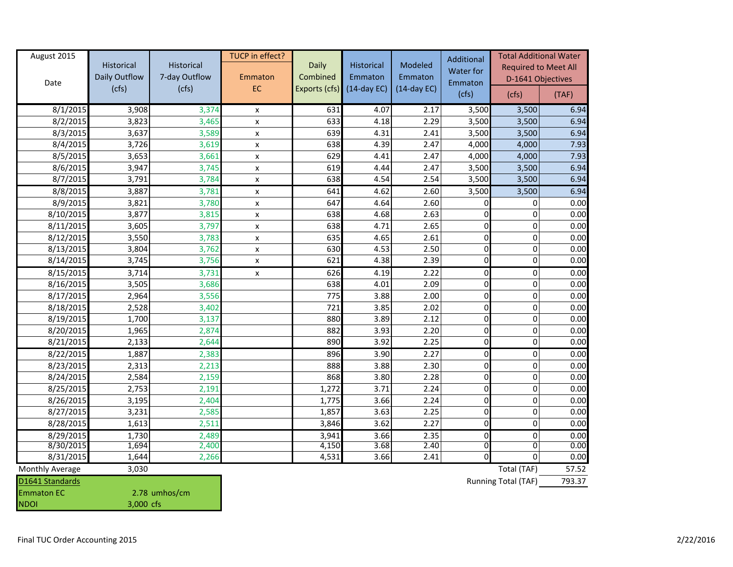| August 2015            | <b>Historical</b><br>Daily Outflow | Historical<br>7-day Outflow | TUCP in effect?<br>Emmaton | Daily<br>Combined | Historical<br>Emmaton | Modeled<br>Emmaton | Additional<br><b>Water for</b> | <b>Total Additional Water</b><br><b>Required to Meet All</b> |        |
|------------------------|------------------------------------|-----------------------------|----------------------------|-------------------|-----------------------|--------------------|--------------------------------|--------------------------------------------------------------|--------|
| Date                   | (cfs)                              | (cfs)                       | EC                         | Exports (cfs)     | $(14-day EC)$         | $(14-day EC)$      | Emmaton<br>(cfs)               | D-1641 Objectives<br>(cfs)                                   | (TAF)  |
| 8/1/2015               | 3,908                              | 3,374                       | X                          | 631               | 4.07                  | 2.17               | 3,500                          | 3,500                                                        | 6.94   |
| 8/2/2015               | 3,823                              | 3,465                       | X                          | 633               | 4.18                  | 2.29               | 3,500                          | 3,500                                                        | 6.94   |
| 8/3/2015               | 3,637                              | 3,589                       | X                          | 639               | 4.31                  | 2.41               | 3,500                          | 3,500                                                        | 6.94   |
| 8/4/2015               | 3,726                              | 3,619                       | X                          | 638               | 4.39                  | 2.47               | 4,000                          | 4,000                                                        | 7.93   |
| 8/5/2015               | 3,653                              | 3,661                       | x                          | 629               | 4.41                  | 2.47               | 4,000                          | 4,000                                                        | 7.93   |
| 8/6/2015               | 3,947                              | 3,745                       | x                          | 619               | 4.44                  | 2.47               | 3,500                          | 3,500                                                        | 6.94   |
| 8/7/2015               | 3,791                              | 3,784                       | $\pmb{\mathsf{X}}$         | 638               | 4.54                  | 2.54               | 3,500                          | 3,500                                                        | 6.94   |
| 8/8/2015               | 3,887                              | 3,781                       | X                          | 641               | 4.62                  | 2.60               | 3,500                          | 3,500                                                        | 6.94   |
| 8/9/2015               | 3,821                              | 3,780                       | x                          | 647               | 4.64                  | 2.60               | 0                              | 0                                                            | 0.00   |
| 8/10/2015              | 3,877                              | 3,815                       | x                          | 638               | 4.68                  | 2.63               |                                | 0                                                            | 0.00   |
| 8/11/2015              | 3,605                              | 3,797                       | $\pmb{\mathsf{x}}$         | 638               | 4.71                  | 2.65               | 0                              | $\Omega$                                                     | 0.00   |
| 8/12/2015              | 3,550                              | 3,783                       | $\pmb{\mathsf{X}}$         | 635               | 4.65                  | 2.61               | $\Omega$                       | 0                                                            | 0.00   |
| 8/13/2015              | 3,804                              | 3,762                       | $\pmb{\mathsf{X}}$         | 630               | 4.53                  | 2.50               | 0                              | 0                                                            | 0.00   |
| 8/14/2015              | 3,745                              | 3,756                       | $\pmb{\mathsf{X}}$         | 621               | 4.38                  | 2.39               | $\Omega$                       | $\Omega$                                                     | 0.00   |
| 8/15/2015              | 3,714                              | 3,731                       | $\mathsf{x}$               | 626               | 4.19                  | 2.22               | $\Omega$                       | 0                                                            | 0.00   |
| 8/16/2015              | 3,505                              | 3,686                       |                            | 638               | 4.01                  | 2.09               | $\Omega$                       | 0                                                            | 0.00   |
| 8/17/2015              | 2,964                              | 3,556                       |                            | 775               | 3.88                  | 2.00               | 0                              | 0                                                            | 0.00   |
| 8/18/2015              | 2,528                              | 3,402                       |                            | 721               | 3.85                  | 2.02               | $\Omega$                       | $\Omega$                                                     | 0.00   |
| 8/19/2015              | 1,700                              | 3,137                       |                            | 880               | 3.89                  | 2.12               | $\Omega$                       | 0                                                            | 0.00   |
| 8/20/2015              | 1,965                              | 2,874                       |                            | 882               | 3.93                  | 2.20               | $\Omega$                       | $\Omega$                                                     | 0.00   |
| 8/21/2015              | 2,133                              | 2,644                       |                            | 890               | 3.92                  | 2.25               | 0                              | $\Omega$                                                     | 0.00   |
| 8/22/2015              | 1,887                              | 2,383                       |                            | 896               | 3.90                  | 2.27               | $\mathbf{0}$                   | 0                                                            | 0.00   |
| 8/23/2015              | 2,313                              | 2,213                       |                            | 888               | 3.88                  | 2.30               | $\Omega$                       | 0                                                            | 0.00   |
| 8/24/2015              | 2,584                              | 2,159                       |                            | 868               | 3.80                  | 2.28               | $\Omega$                       | $\Omega$                                                     | 0.00   |
| 8/25/2015              | 2,753                              | 2,191                       |                            | 1,272             | 3.71                  | 2.24               | $\Omega$                       | $\Omega$                                                     | 0.00   |
| 8/26/2015              | 3,195                              | 2,404                       |                            | 1,775             | 3.66                  | 2.24               | $\Omega$                       | 0                                                            | 0.00   |
| 8/27/2015              | 3,231                              | 2,585                       |                            | 1,857             | 3.63                  | 2.25               | $\Omega$                       | $\Omega$                                                     | 0.00   |
| 8/28/2015              | 1,613                              | 2,511                       |                            | 3,846             | 3.62                  | 2.27               | $\Omega$                       | $\Omega$                                                     | 0.00   |
| 8/29/2015              | 1,730                              | 2,489                       |                            | 3,941             | 3.66                  | 2.35               | $\Omega$                       | 0                                                            | 0.00   |
| 8/30/2015              | 1,694                              | 2,400                       |                            | 4,150             | 3.68                  | 2.40               | $\Omega$                       | $\Omega$                                                     | 0.00   |
| 8/31/2015              | 1,644                              | 2,266                       |                            | 4,531             | 3.66                  | 2.41               | $\Omega$                       | $\Omega$                                                     | 0.00   |
| <b>Monthly Average</b> | 3,030                              |                             |                            |                   |                       |                    |                                | Total (TAF)                                                  | 57.52  |
| D1641 Standards        |                                    |                             |                            |                   |                       |                    |                                | Running Total (TAF)                                          | 793.37 |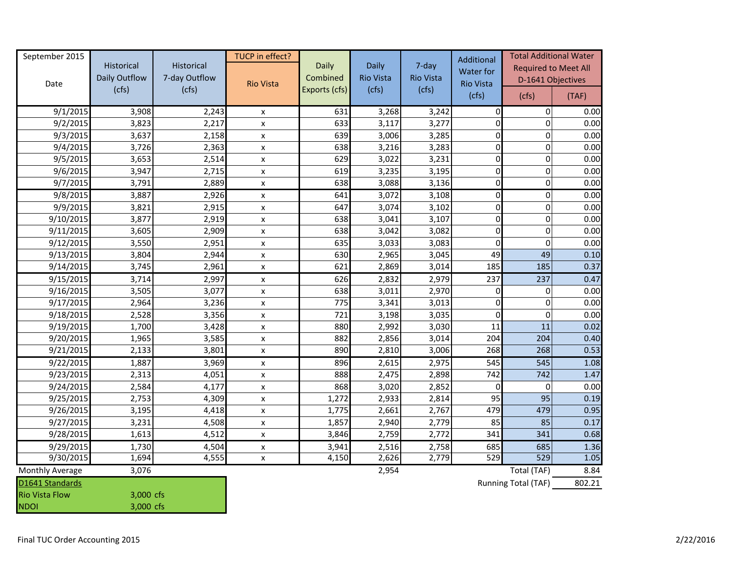| September 2015         | Historical             | Historical             | TUCP in effect?    | Daily                     | Daily                     | 7-day                     | Additional<br>Water for | <b>Total Additional Water</b><br><b>Required to Meet All</b> |        |
|------------------------|------------------------|------------------------|--------------------|---------------------------|---------------------------|---------------------------|-------------------------|--------------------------------------------------------------|--------|
| Date                   | Daily Outflow<br>(cfs) | 7-day Outflow<br>(cfs) | <b>Rio Vista</b>   | Combined<br>Exports (cfs) | <b>Rio Vista</b><br>(cfs) | <b>Rio Vista</b><br>(cfs) | <b>Rio Vista</b>        | D-1641 Objectives                                            |        |
|                        |                        |                        |                    |                           |                           |                           | (cfs)                   | (cfs)                                                        | (TAF)  |
| 9/1/2015               | 3,908                  | 2,243                  | X                  | 631                       | 3,268                     | 3,242                     | $\mathbf 0$             | 0                                                            | 0.00   |
| 9/2/2015               | 3,823                  | 2,217                  | $\pmb{\chi}$       | 633                       | 3,117                     | 3,277                     | $\Omega$                | $\Omega$                                                     | 0.00   |
| 9/3/2015               | 3,637                  | 2,158                  | $\pmb{\mathsf{x}}$ | 639                       | 3,006                     | 3,285                     | 0                       | 0                                                            | 0.00   |
| 9/4/2015               | 3,726                  | 2,363                  | $\pmb{\mathsf{x}}$ | 638                       | 3,216                     | 3,283                     | $\Omega$                | $\Omega$                                                     | 0.00   |
| 9/5/2015               | 3,653                  | 2,514                  | $\pmb{\times}$     | 629                       | 3,022                     | 3,231                     | $\Omega$                | $\Omega$                                                     | 0.00   |
| 9/6/2015               | 3,947                  | 2,715                  | $\pmb{\chi}$       | 619                       | 3,235                     | 3,195                     | $\Omega$                | $\Omega$                                                     | 0.00   |
| 9/7/2015               | 3,791                  | 2,889                  | $\pmb{\mathsf{x}}$ | 638                       | 3,088                     | 3,136                     | $\mathbf{0}$            | $\Omega$                                                     | 0.00   |
| 9/8/2015               | 3,887                  | 2,926                  | $\pmb{\chi}$       | 641                       | 3,072                     | 3,108                     | $\mathbf{0}$            | $\Omega$                                                     | 0.00   |
| 9/9/2015               | 3,821                  | 2,915                  | $\pmb{\mathsf{x}}$ | 647                       | 3,074                     | 3,102                     | $\Omega$                | $\Omega$                                                     | 0.00   |
| 9/10/2015              | 3,877                  | 2,919                  | $\pmb{\chi}$       | 638                       | 3,041                     | 3,107                     | $\Omega$                | $\Omega$                                                     | 0.00   |
| 9/11/2015              | 3,605                  | 2,909                  | $\pmb{\mathsf{X}}$ | 638                       | 3,042                     | 3,082                     | $\Omega$                | $\Omega$                                                     | 0.00   |
| 9/12/2015              | 3,550                  | 2,951                  | $\pmb{\mathsf{x}}$ | 635                       | 3,033                     | 3,083                     | $\Omega$                | $\Omega$                                                     | 0.00   |
| 9/13/2015              | 3,804                  | 2,944                  | X                  | 630                       | 2,965                     | 3,045                     | 49                      | 49                                                           | 0.10   |
| 9/14/2015              | 3,745                  | 2,961                  | $\pmb{\mathsf{x}}$ | 621                       | 2,869                     | 3,014                     | 185                     | 185                                                          | 0.37   |
| 9/15/2015              | 3,714                  | 2,997                  | $\pmb{\mathsf{X}}$ | 626                       | 2,832                     | 2,979                     | 237                     | 237                                                          | 0.47   |
| 9/16/2015              | 3,505                  | 3,077                  | $\pmb{\mathsf{x}}$ | 638                       | 3,011                     | 2,970                     | $\Omega$                | 0                                                            | 0.00   |
| 9/17/2015              | 2,964                  | 3,236                  | $\pmb{\mathsf{X}}$ | 775                       | 3,341                     | 3,013                     | $\Omega$                | $\Omega$                                                     | 0.00   |
| 9/18/2015              | 2,528                  | 3,356                  | $\pmb{\mathsf{x}}$ | 721                       | 3,198                     | 3,035                     | $\Omega$                |                                                              | 0.00   |
| 9/19/2015              | 1,700                  | 3,428                  | X                  | 880                       | 2,992                     | 3,030                     | 11                      | 11                                                           | 0.02   |
| 9/20/2015              | 1,965                  | 3,585                  | $\pmb{\times}$     | 882                       | 2,856                     | 3,014                     | 204                     | 204                                                          | 0.40   |
| 9/21/2015              | 2,133                  | 3,801                  | $\pmb{\chi}$       | 890                       | 2,810                     | 3,006                     | 268                     | 268                                                          | 0.53   |
| 9/22/2015              | 1,887                  | 3,969                  | $\pmb{\chi}$       | 896                       | 2,615                     | 2,975                     | 545                     | $\overline{545}$                                             | 1.08   |
| 9/23/2015              | 2,313                  | 4,051                  | $\pmb{\chi}$       | 888                       | 2,475                     | 2,898                     | 742                     | 742                                                          | 1.47   |
| 9/24/2015              | 2,584                  | 4,177                  | $\pmb{\mathsf{x}}$ | 868                       | 3,020                     | 2,852                     | $\Omega$                | $\Omega$                                                     | 0.00   |
| 9/25/2015              | 2,753                  | 4,309                  | $\pmb{\chi}$       | 1,272                     | 2,933                     | 2,814                     | 95                      | 95                                                           | 0.19   |
| 9/26/2015              | 3,195                  | 4,418                  | $\pmb{\mathsf{x}}$ | 1,775                     | 2,661                     | 2,767                     | 479                     | 479                                                          | 0.95   |
| 9/27/2015              | 3,231                  | 4,508                  | X                  | 1,857                     | 2,940                     | 2,779                     | 85                      | 85                                                           | 0.17   |
| 9/28/2015              | 1,613                  | 4,512                  | $\pmb{\mathsf{x}}$ | 3,846                     | 2,759                     | 2,772                     | 341                     | 341                                                          | 0.68   |
| 9/29/2015              | 1,730                  | 4,504                  | X                  | 3,941                     | 2,516                     | 2,758                     | 685                     | 685                                                          | 1.36   |
| 9/30/2015              | 1,694                  | 4,555                  | $\pmb{\mathsf{x}}$ | 4,150                     | 2,626                     | 2,779                     | 529                     | 529                                                          | 1.05   |
| <b>Monthly Average</b> | 3,076                  |                        |                    |                           | 2,954                     |                           |                         | Total (TAF)                                                  | 8.84   |
| D1641 Standards        |                        |                        |                    |                           |                           |                           |                         | Running Total (TAF)                                          | 802.21 |
| <b>Rio Vista Flow</b>  | 3,000 cfs              |                        |                    |                           |                           |                           |                         |                                                              |        |
| <b>NDOI</b>            | 3,000 cfs              |                        |                    |                           |                           |                           |                         |                                                              |        |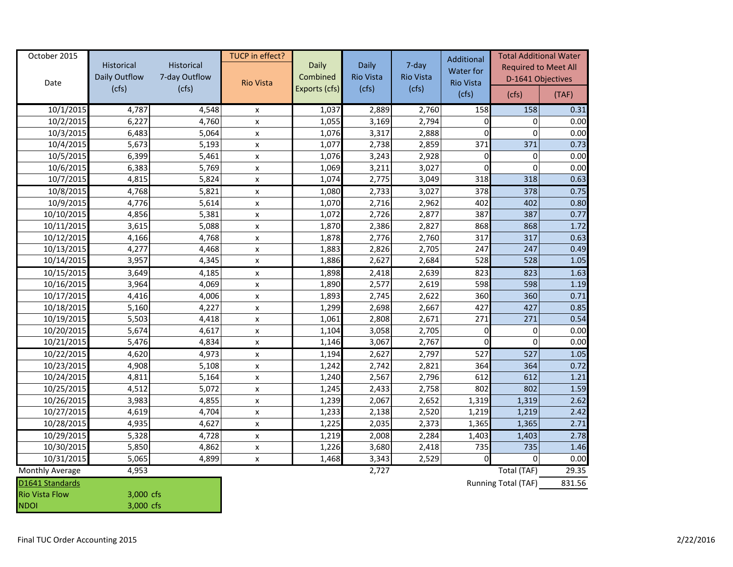| October 2015          | Historical    | Historical    | TUCP in effect?    | Daily         | Daily                | 7-day            | Additional             | <b>Total Additional Water</b><br><b>Required to Meet All</b> |        |
|-----------------------|---------------|---------------|--------------------|---------------|----------------------|------------------|------------------------|--------------------------------------------------------------|--------|
|                       | Daily Outflow | 7-day Outflow |                    | Combined      | <b>Rio Vista</b>     | <b>Rio Vista</b> | Water for<br>Rio Vista | D-1641 Objectives                                            |        |
| Date                  | (cfs)         | (cfs)         | <b>Rio Vista</b>   | Exports (cfs) | (cfs)                | (cfs)            | (cfs)                  | (cfs)                                                        | (TAF)  |
| 10/1/2015             | 4,787         | 4,548         | X                  | 1,037         | 2,889                | 2,760            | 158                    | 158                                                          | 0.31   |
| 10/2/2015             | 6,227         | 4,760         | $\pmb{\mathsf{x}}$ | 1,055         | 3,169                | 2,794            | $\Omega$               | $\Omega$                                                     | 0.00   |
| 10/3/2015             | 6,483         | 5,064         | $\pmb{\mathsf{x}}$ | 1,076         | 3,317                | 2,888            | $\Omega$               | $\Omega$                                                     | 0.00   |
| 10/4/2015             | 5,673         | 5,193         | $\mathsf{x}$       | 1,077         | 2,738                | 2,859            | 371                    | 371                                                          | 0.73   |
| 10/5/2015             | 6,399         | 5,461         | X                  | 1,076         | 3,243                | 2,928            | $\Omega$               | $\Omega$                                                     | 0.00   |
| 10/6/2015             | 6,383         | 5,769         | $\pmb{\mathsf{x}}$ | 1,069         | 3,211                | 3,027            | $\Omega$               | $\Omega$                                                     | 0.00   |
| 10/7/2015             | 4,815         | 5,824         | $\pmb{\mathsf{x}}$ | 1,074         | 2,775                | 3,049            | 318                    | 318                                                          | 0.63   |
| 10/8/2015             | 4,768         | 5,821         | $\pmb{\mathsf{x}}$ | 1,080         | 2,733                | 3,027            | 378                    | 378                                                          | 0.75   |
| 10/9/2015             | 4,776         | 5,614         | $\pmb{\mathsf{x}}$ | 1,070         | 2,716                | 2,962            | 402                    | 402                                                          | 0.80   |
| 10/10/2015            | 4,856         | 5,381         | $\pmb{\mathsf{x}}$ | 1,072         | 2,726                | 2,877            | 387                    | 387                                                          | 0.77   |
| 10/11/2015            | 3,615         | 5,088         | $\pmb{\mathsf{x}}$ | 1,870         | 2,386                | 2,827            | 868                    | 868                                                          | 1.72   |
| 10/12/2015            | 4,166         | 4,768         | $\pmb{\mathsf{x}}$ | 1,878         | 2,776                | 2,760            | 317                    | 317                                                          | 0.63   |
| 10/13/2015            | 4,277         | 4,468         | $\pmb{\mathsf{x}}$ | 1,883         | 2,826                | 2,705            | 247                    | 247                                                          | 0.49   |
| 10/14/2015            | 3,957         | 4,345         | $\pmb{\mathsf{x}}$ | 1,886         | 2,627                | 2,684            | 528                    | 528                                                          | 1.05   |
| 10/15/2015            | 3,649         | 4,185         | $\pmb{\mathsf{x}}$ | 1,898         | 2,418                | 2,639            | 823                    | 823                                                          | 1.63   |
| 10/16/2015            | 3,964         | 4,069         | X                  | 1,890         | 2,577                | 2,619            | 598                    | 598                                                          | 1.19   |
| 10/17/2015            | 4,416         | 4,006         | $\pmb{\mathsf{x}}$ | 1,893         | 2,745                | 2,622            | 360                    | 360                                                          | 0.71   |
| 10/18/2015            | 5,160         | 4,227         | $\pmb{\times}$     | 1,299         | 2,698                | 2,667            | 427                    | 427                                                          | 0.85   |
| 10/19/2015            | 5,503         | 4,418         | $\pmb{\mathsf{x}}$ | 1,061         | 2,808                | 2,671            | 271                    | 271                                                          | 0.54   |
| 10/20/2015            | 5,674         | 4,617         | $\pmb{\mathsf{x}}$ | 1,104         | 3,058                | 2,705            | $\Omega$               | 0                                                            | 0.00   |
| 10/21/2015            | 5,476         | 4,834         | $\pmb{\mathsf{x}}$ | 1,146         | 3,067                | 2,767            | 0                      | $\Omega$                                                     | 0.00   |
| 10/22/2015            | 4,620         | 4,973         | $\pmb{\mathsf{X}}$ | 1,194         | 2,627                | 2,797            | 527                    | $\overline{527}$                                             | 1.05   |
| 10/23/2015            | 4,908         | 5,108         | $\pmb{\mathsf{x}}$ | 1,242         | 2,742                | 2,821            | 364                    | 364                                                          | 0.72   |
| 10/24/2015            | 4,811         | 5,164         | X                  | 1,240         | 2,567                | 2,796            | 612                    | 612                                                          | 1.21   |
| 10/25/2015            | 4,512         | 5,072         | $\pmb{\mathsf{x}}$ | 1,245         | 2,433                | 2,758            | 802                    | 802                                                          | 1.59   |
| 10/26/2015            | 3,983         | 4,855         | $\pmb{\mathsf{x}}$ | 1,239         | 2,067                | 2,652            | 1,319                  | 1,319                                                        | 2.62   |
| 10/27/2015            | 4,619         | 4,704         | $\pmb{\mathsf{x}}$ | 1,233         | 2,138                | 2,520            | 1,219                  | 1,219                                                        | 2.42   |
| 10/28/2015            | 4,935         | 4,627         | $\pmb{\mathsf{x}}$ | 1,225         | 2,035                | 2,373            | 1,365                  | 1,365                                                        | 2.71   |
| 10/29/2015            | 5,328         | 4,728         | X                  | 1,219         | 2,008                | 2,284            | 1,403                  | 1,403                                                        | 2.78   |
| 10/30/2015            | 5,850         | 4,862         | $\pmb{\mathsf{x}}$ | 1,226         | 3,680                | 2,418            | 735                    | 735                                                          | 1.46   |
| 10/31/2015            | 5,065         | 4,899         | $\pmb{\mathsf{x}}$ | 1,468         | 3,343                | 2,529            | $\Omega$               | $\Omega$                                                     | 0.00   |
| Monthly Average       | 4,953         |               |                    |               | 2,727<br>Total (TAF) |                  |                        | 29.35                                                        |        |
| D1641 Standards       |               |               |                    |               |                      |                  |                        | Running Total (TAF)                                          | 831.56 |
| <b>Rio Vista Flow</b> | 3,000 cfs     |               |                    |               |                      |                  |                        |                                                              |        |
| <b>NDOI</b>           | 3,000 cfs     |               |                    |               |                      |                  |                        |                                                              |        |